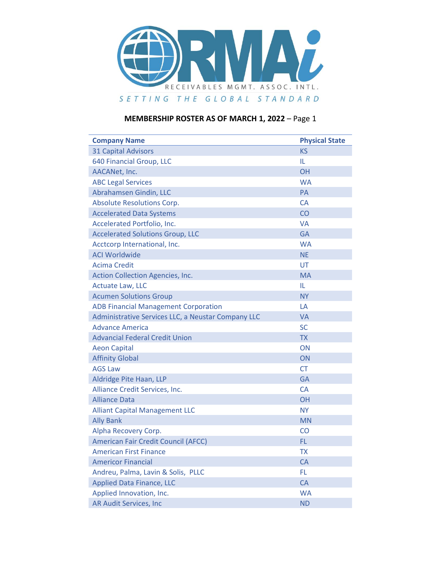

| <b>Company Name</b>                                | <b>Physical State</b> |
|----------------------------------------------------|-----------------------|
| <b>31 Capital Advisors</b>                         | <b>KS</b>             |
| 640 Financial Group, LLC                           | IL.                   |
| AACANet, Inc.                                      | OH                    |
| <b>ABC Legal Services</b>                          | <b>WA</b>             |
| Abrahamsen Gindin, LLC                             | PA                    |
| <b>Absolute Resolutions Corp.</b>                  | <b>CA</b>             |
| <b>Accelerated Data Systems</b>                    | CO                    |
| Accelerated Portfolio, Inc.                        | <b>VA</b>             |
| <b>Accelerated Solutions Group, LLC</b>            | <b>GA</b>             |
| Acctcorp International, Inc.                       | <b>WA</b>             |
| <b>ACI Worldwide</b>                               | <b>NE</b>             |
| <b>Acima Credit</b>                                | UT                    |
| Action Collection Agencies, Inc.                   | <b>MA</b>             |
| <b>Actuate Law, LLC</b>                            | IL.                   |
| <b>Acumen Solutions Group</b>                      | <b>NY</b>             |
| <b>ADB Financial Management Corporation</b>        | LA                    |
| Administrative Services LLC, a Neustar Company LLC | <b>VA</b>             |
| <b>Advance America</b>                             | <b>SC</b>             |
| <b>Advancial Federal Credit Union</b>              | <b>TX</b>             |
| <b>Aeon Capital</b>                                | ON                    |
| <b>Affinity Global</b>                             | ON                    |
| <b>AGS Law</b>                                     | <b>CT</b>             |
| Aldridge Pite Haan, LLP                            | <b>GA</b>             |
| Alliance Credit Services, Inc.                     | CA                    |
| <b>Alliance Data</b>                               | <b>OH</b>             |
| <b>Alliant Capital Management LLC</b>              | NY.                   |
| <b>Ally Bank</b>                                   | <b>MN</b>             |
| Alpha Recovery Corp.                               | <b>CO</b>             |
| <b>American Fair Credit Council (AFCC)</b>         | FL.                   |
| <b>American First Finance</b>                      | <b>TX</b>             |
| <b>Americor Financial</b>                          | CA                    |
| Andreu, Palma, Lavin & Solis, PLLC                 | FL.                   |
| <b>Applied Data Finance, LLC</b>                   | <b>CA</b>             |
| Applied Innovation, Inc.                           | <b>WA</b>             |
| <b>AR Audit Services, Inc</b>                      | <b>ND</b>             |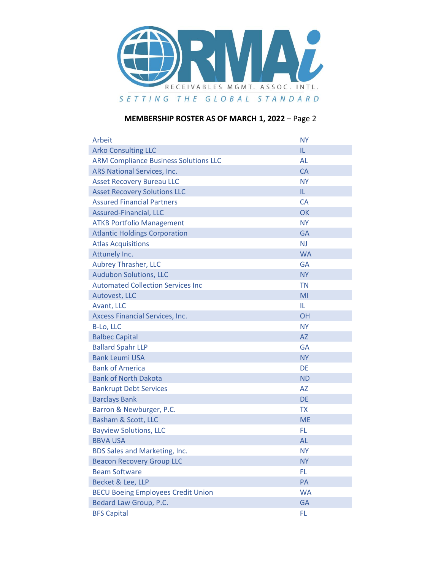

| Arbeit                                       | <b>NY</b> |
|----------------------------------------------|-----------|
| <b>Arko Consulting LLC</b>                   | IL.       |
| <b>ARM Compliance Business Solutions LLC</b> | AL        |
| ARS National Services, Inc.                  | <b>CA</b> |
| <b>Asset Recovery Bureau LLC</b>             | <b>NY</b> |
| <b>Asset Recovery Solutions LLC</b>          | IL        |
| <b>Assured Financial Partners</b>            | CA        |
| Assured-Financial, LLC                       | OK        |
| <b>ATKB Portfolio Management</b>             | <b>NY</b> |
| <b>Atlantic Holdings Corporation</b>         | <b>GA</b> |
| <b>Atlas Acquisitions</b>                    | <b>NJ</b> |
| Attunely Inc.                                | <b>WA</b> |
| <b>Aubrey Thrasher, LLC</b>                  | GA        |
| <b>Audubon Solutions, LLC</b>                | <b>NY</b> |
| <b>Automated Collection Services Inc.</b>    | <b>TN</b> |
| Autovest, LLC                                | MI        |
| Avant, LLC                                   | IL.       |
| Axcess Financial Services, Inc.              | <b>OH</b> |
| B-Lo, LLC                                    | <b>NY</b> |
| <b>Balbec Capital</b>                        | AZ        |
| <b>Ballard Spahr LLP</b>                     | <b>GA</b> |
| <b>Bank Leumi USA</b>                        | <b>NY</b> |
| <b>Bank of America</b>                       | <b>DE</b> |
| <b>Bank of North Dakota</b>                  | <b>ND</b> |
| <b>Bankrupt Debt Services</b>                | <b>AZ</b> |
| <b>Barclays Bank</b>                         | <b>DE</b> |
| Barron & Newburger, P.C.                     | <b>TX</b> |
| Basham & Scott, LLC                          | <b>ME</b> |
| <b>Bayview Solutions, LLC</b>                | FL        |
| <b>BBVA USA</b>                              | <b>AL</b> |
| <b>BDS Sales and Marketing, Inc.</b>         | <b>NY</b> |
| <b>Beacon Recovery Group LLC</b>             | <b>NY</b> |
| <b>Beam Software</b>                         | FL        |
| Becket & Lee, LLP                            | PA        |
| <b>BECU Boeing Employees Credit Union</b>    | <b>WA</b> |
| Bedard Law Group, P.C.                       | <b>GA</b> |
| <b>BFS Capital</b>                           | FL        |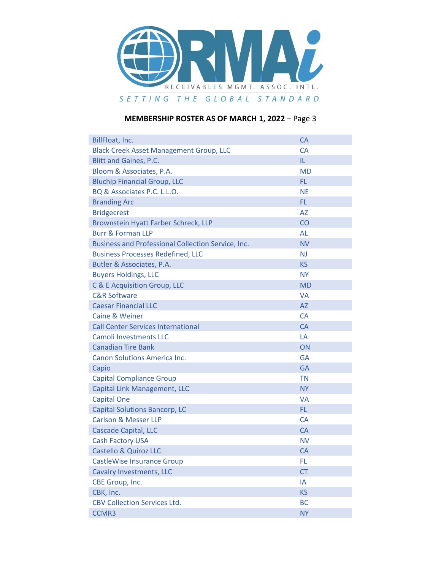

| BillFloat, Inc.                                    | <b>CA</b>      |
|----------------------------------------------------|----------------|
| <b>Black Creek Asset Management Group, LLC</b>     | <b>CA</b>      |
| <b>Blitt and Gaines, P.C.</b>                      | IL.            |
| Bloom & Associates, P.A.                           | <b>MD</b>      |
| <b>Bluchip Financial Group, LLC</b>                | FL.            |
| BQ & Associates P.C. L.L.O.                        | <b>NE</b>      |
| <b>Branding Arc</b>                                | FL.            |
| <b>Bridgecrest</b>                                 | <b>AZ</b>      |
| Brownstein Hyatt Farber Schreck, LLP               | CO             |
| <b>Burr &amp; Forman LLP</b>                       | AL             |
| Business and Professional Collection Service, Inc. | <b>NV</b>      |
| <b>Business Processes Redefined, LLC</b>           | N <sub>J</sub> |
| Butler & Associates, P.A.                          | <b>KS</b>      |
| <b>Buyers Holdings, LLC</b>                        | <b>NY</b>      |
| C & E Acquisition Group, LLC                       | <b>MD</b>      |
| <b>C&amp;R Software</b>                            | <b>VA</b>      |
| <b>Caesar Financial LLC</b>                        | AZ             |
| Caine & Weiner                                     | <b>CA</b>      |
| <b>Call Center Services International</b>          | <b>CA</b>      |
| <b>Camoli Investments LLC</b>                      | LA             |
| <b>Canadian Tire Bank</b>                          | ON             |
| Canon Solutions America Inc.                       | <b>GA</b>      |
| Capio                                              | <b>GA</b>      |
| <b>Capital Compliance Group</b>                    | <b>TN</b>      |
| <b>Capital Link Management, LLC</b>                | <b>NY</b>      |
| <b>Capital One</b>                                 | <b>VA</b>      |
| <b>Capital Solutions Bancorp, LC</b>               | FL.            |
| <b>Carlson &amp; Messer LLP</b>                    | <b>CA</b>      |
| <b>Cascade Capital, LLC</b>                        | <b>CA</b>      |
| <b>Cash Factory USA</b>                            | <b>NV</b>      |
| <b>Castello &amp; Quiroz LLC</b>                   | <b>CA</b>      |
| <b>CastleWise Insurance Group</b>                  | FL.            |
| <b>Cavalry Investments, LLC</b>                    | <b>CT</b>      |
| CBE Group, Inc.                                    | IA             |
| CBK, Inc.                                          | <b>KS</b>      |
| <b>CBV Collection Services Ltd.</b>                | <b>BC</b>      |
| <b>CCMR3</b>                                       | <b>NY</b>      |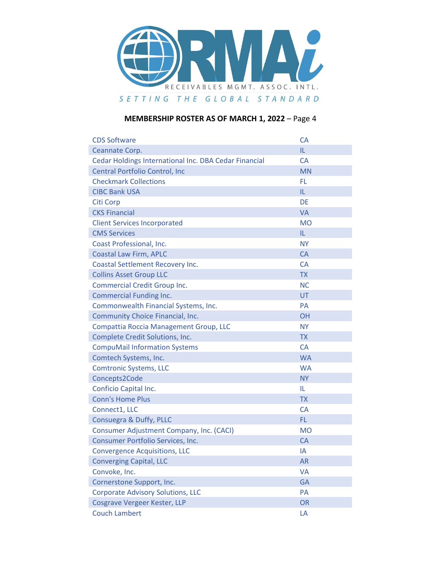

| <b>CDS Software</b>                                   | <b>CA</b> |
|-------------------------------------------------------|-----------|
| Ceannate Corp.                                        | IL.       |
| Cedar Holdings International Inc. DBA Cedar Financial | <b>CA</b> |
| Central Portfolio Control, Inc                        | <b>MN</b> |
| <b>Checkmark Collections</b>                          | <b>FL</b> |
| <b>CIBC Bank USA</b>                                  | IL        |
| <b>Citi Corp</b>                                      | <b>DE</b> |
| <b>CKS Financial</b>                                  | <b>VA</b> |
| <b>Client Services Incorporated</b>                   | <b>MO</b> |
| <b>CMS Services</b>                                   | IL        |
| Coast Professional, Inc.                              | <b>NY</b> |
| <b>Coastal Law Firm, APLC</b>                         | <b>CA</b> |
| Coastal Settlement Recovery Inc.                      | <b>CA</b> |
| <b>Collins Asset Group LLC</b>                        | <b>TX</b> |
| <b>Commercial Credit Group Inc.</b>                   | <b>NC</b> |
| <b>Commercial Funding Inc.</b>                        | UT        |
| Commonwealth Financial Systems, Inc.                  | <b>PA</b> |
| Community Choice Financial, Inc.                      | <b>OH</b> |
| Compattia Roccia Management Group, LLC                | <b>NY</b> |
| Complete Credit Solutions, Inc.                       | <b>TX</b> |
| <b>CompuMail Information Systems</b>                  | <b>CA</b> |
| Comtech Systems, Inc.                                 | <b>WA</b> |
| <b>Comtronic Systems, LLC</b>                         | <b>WA</b> |
| Concepts2Code                                         | <b>NY</b> |
| Conficio Capital Inc.                                 | IL        |
| <b>Conn's Home Plus</b>                               | <b>TX</b> |
| Connect1, LLC                                         | <b>CA</b> |
| Consuegra & Duffy, PLLC                               | FL.       |
| <b>Consumer Adjustment Company, Inc. (CACI)</b>       | <b>MO</b> |
| Consumer Portfolio Services, Inc.                     | <b>CA</b> |
| <b>Convergence Acquisitions, LLC</b>                  | IA        |
| <b>Converging Capital, LLC</b>                        | <b>AR</b> |
| Convoke, Inc.                                         | VA        |
| Cornerstone Support, Inc.                             | <b>GA</b> |
| <b>Corporate Advisory Solutions, LLC</b>              | PA        |
| Cosgrave Vergeer Kester, LLP                          | <b>OR</b> |
| <b>Couch Lambert</b>                                  | LA        |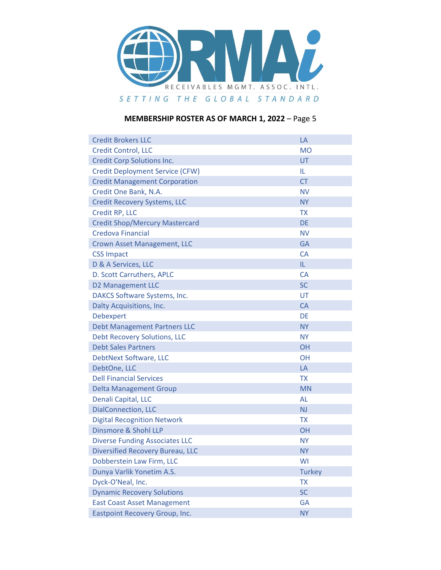

| <b>Credit Brokers LLC</b>              | LA            |
|----------------------------------------|---------------|
| <b>Credit Control, LLC</b>             | <b>MO</b>     |
| <b>Credit Corp Solutions Inc.</b>      | <b>UT</b>     |
| <b>Credit Deployment Service (CFW)</b> | IL.           |
| <b>Credit Management Corporation</b>   | <b>CT</b>     |
| Credit One Bank, N.A.                  | <b>NV</b>     |
| <b>Credit Recovery Systems, LLC</b>    | <b>NY</b>     |
| Credit RP, LLC                         | <b>TX</b>     |
| <b>Credit Shop/Mercury Mastercard</b>  | <b>DE</b>     |
| <b>Credova Financial</b>               | <b>NV</b>     |
| Crown Asset Management, LLC            | <b>GA</b>     |
| <b>CSS Impact</b>                      | CA            |
| D & A Services, LLC                    | IL.           |
| D. Scott Carruthers, APLC              | CA            |
| <b>D2 Management LLC</b>               | <b>SC</b>     |
| DAKCS Software Systems, Inc.           | UT            |
| Dalty Acquisitions, Inc.               | <b>CA</b>     |
| <b>Debexpert</b>                       | <b>DE</b>     |
| <b>Debt Management Partners LLC</b>    | <b>NY</b>     |
| <b>Debt Recovery Solutions, LLC</b>    | <b>NY</b>     |
| <b>Debt Sales Partners</b>             | <b>OH</b>     |
| DebtNext Software, LLC                 | <b>OH</b>     |
| DebtOne, LLC                           | LA            |
| <b>Dell Financial Services</b>         | <b>TX</b>     |
| <b>Delta Management Group</b>          | <b>MN</b>     |
| Denali Capital, LLC                    | AL            |
| <b>DialConnection, LLC</b>             | <b>NJ</b>     |
| <b>Digital Recognition Network</b>     | <b>TX</b>     |
| <b>Dinsmore &amp; Shohl LLP</b>        | OH            |
| <b>Diverse Funding Associates LLC</b>  | <b>NY</b>     |
| Diversified Recovery Bureau, LLC       | <b>NY</b>     |
| Dobberstein Law Firm, LLC              | WI            |
| Dunya Varlik Yonetim A.S.              | <b>Turkey</b> |
| Dyck-O'Neal, Inc.                      | <b>TX</b>     |
| <b>Dynamic Recovery Solutions</b>      | <b>SC</b>     |
| <b>East Coast Asset Management</b>     | GA            |
| <b>Eastpoint Recovery Group, Inc.</b>  | <b>NY</b>     |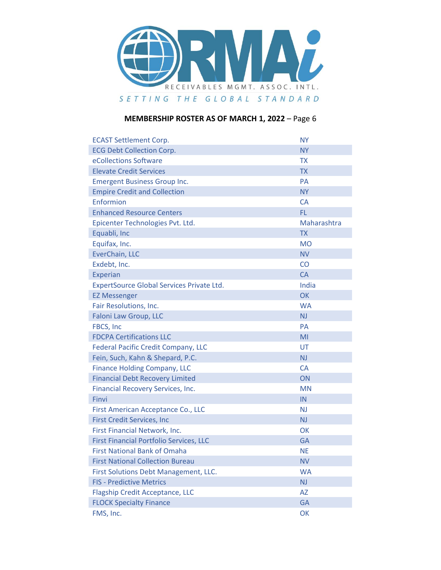

| <b>ECAST Settlement Corp.</b>                  | <b>NY</b>   |
|------------------------------------------------|-------------|
| <b>ECG Debt Collection Corp.</b>               | <b>NY</b>   |
| eCollections Software                          | <b>TX</b>   |
| <b>Elevate Credit Services</b>                 | <b>TX</b>   |
| <b>Emergent Business Group Inc.</b>            | <b>PA</b>   |
| <b>Empire Credit and Collection</b>            | <b>NY</b>   |
| Enformion                                      | <b>CA</b>   |
| <b>Enhanced Resource Centers</b>               | <b>FL</b>   |
| Epicenter Technologies Pvt. Ltd.               | Maharashtra |
| Equabli, Inc                                   | <b>TX</b>   |
| Equifax, Inc.                                  | <b>MO</b>   |
| EverChain, LLC                                 | <b>NV</b>   |
| Exdebt, Inc.                                   | CO          |
| Experian                                       | <b>CA</b>   |
| ExpertSource Global Services Private Ltd.      | India       |
| <b>EZ Messenger</b>                            | OK          |
| Fair Resolutions, Inc.                         | <b>WA</b>   |
| Faloni Law Group, LLC                          | <b>NJ</b>   |
| FBCS, Inc                                      | <b>PA</b>   |
| <b>FDCPA Certifications LLC</b>                | MI          |
| <b>Federal Pacific Credit Company, LLC</b>     | <b>UT</b>   |
| Fein, Such, Kahn & Shepard, P.C.               | <b>NJ</b>   |
| <b>Finance Holding Company, LLC</b>            | <b>CA</b>   |
| <b>Financial Debt Recovery Limited</b>         | <b>ON</b>   |
| Financial Recovery Services, Inc.              | <b>MN</b>   |
| Finvi                                          | IN          |
| First American Acceptance Co., LLC             | <b>NJ</b>   |
| <b>First Credit Services, Inc</b>              | <b>NJ</b>   |
| First Financial Network, Inc.                  | OK          |
| <b>First Financial Portfolio Services, LLC</b> | <b>GA</b>   |
| <b>First National Bank of Omaha</b>            | <b>NE</b>   |
| <b>First National Collection Bureau</b>        | <b>NV</b>   |
| First Solutions Debt Management, LLC.          | <b>WA</b>   |
| <b>FIS - Predictive Metrics</b>                | <b>NJ</b>   |
| <b>Flagship Credit Acceptance, LLC</b>         | <b>AZ</b>   |
| <b>FLOCK Specialty Finance</b>                 | <b>GA</b>   |
| FMS, Inc.                                      | OK          |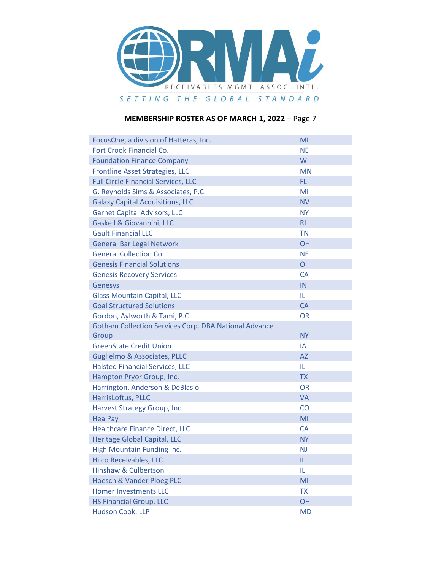

| FocusOne, a division of Hatteras, Inc.                       | MI             |
|--------------------------------------------------------------|----------------|
| Fort Crook Financial Co.                                     | <b>NE</b>      |
| <b>Foundation Finance Company</b>                            | WI             |
| <b>Frontline Asset Strategies, LLC</b>                       | <b>MN</b>      |
| <b>Full Circle Financial Services, LLC</b>                   | FL.            |
| G. Reynolds Sims & Associates, P.C.                          | MI             |
| <b>Galaxy Capital Acquisitions, LLC</b>                      | <b>NV</b>      |
| <b>Garnet Capital Advisors, LLC</b>                          | <b>NY</b>      |
| Gaskell & Giovannini, LLC                                    | R <sub>l</sub> |
| <b>Gault Financial LLC</b>                                   | <b>TN</b>      |
| <b>General Bar Legal Network</b>                             | OH             |
| <b>General Collection Co.</b>                                | <b>NE</b>      |
| <b>Genesis Financial Solutions</b>                           | <b>OH</b>      |
| <b>Genesis Recovery Services</b>                             | CA             |
| Genesys                                                      | IN             |
| <b>Glass Mountain Capital, LLC</b>                           | IL.            |
| <b>Goal Structured Solutions</b>                             | CA             |
| Gordon, Aylworth & Tami, P.C.                                | <b>OR</b>      |
| <b>Gotham Collection Services Corp. DBA National Advance</b> |                |
| Group                                                        | <b>NY</b>      |
| <b>GreenState Credit Union</b>                               | IA             |
| <b>Guglielmo &amp; Associates, PLLC</b>                      | <b>AZ</b>      |
| <b>Halsted Financial Services, LLC</b>                       | IL             |
| Hampton Pryor Group, Inc.                                    | <b>TX</b>      |
| Harrington, Anderson & DeBlasio                              | <b>OR</b>      |
| HarrisLoftus, PLLC                                           | VA             |
| Harvest Strategy Group, Inc.                                 | <b>CO</b>      |
| <b>HealPay</b>                                               | MI             |
| <b>Healthcare Finance Direct, LLC</b>                        | <b>CA</b>      |
| Heritage Global Capital, LLC                                 | <b>NY</b>      |
| High Mountain Funding Inc.                                   | <b>NJ</b>      |
| <b>Hilco Receivables, LLC</b>                                | IL             |
| <b>Hinshaw &amp; Culbertson</b>                              | IL             |
| <b>Hoesch &amp; Vander Ploeg PLC</b>                         | MI             |
| <b>Homer Investments LLC</b>                                 | <b>TX</b>      |
| <b>HS Financial Group, LLC</b>                               | OH             |
| Hudson Cook, LLP                                             | <b>MD</b>      |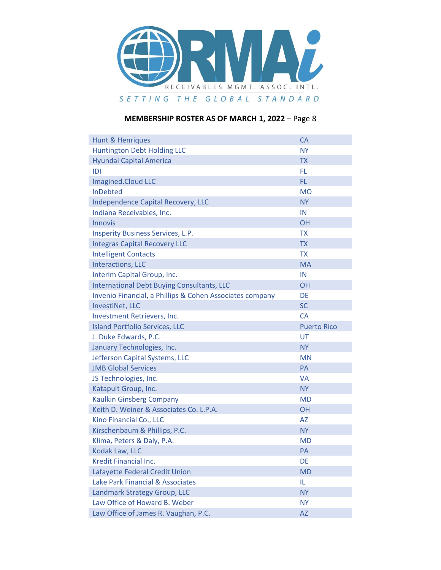

| <b>Hunt &amp; Henriques</b>                              | <b>CA</b>          |
|----------------------------------------------------------|--------------------|
| <b>Huntington Debt Holding LLC</b>                       | <b>NY</b>          |
| Hyundai Capital America                                  | <b>TX</b>          |
| IDI                                                      | FL                 |
| Imagined.Cloud LLC                                       | <b>FL</b>          |
| <b>InDebted</b>                                          | <b>MO</b>          |
| Independence Capital Recovery, LLC                       | <b>NY</b>          |
| Indiana Receivables, Inc.                                | IN                 |
| <b>Innovis</b>                                           | <b>OH</b>          |
| <b>Insperity Business Services, L.P.</b>                 | <b>TX</b>          |
| <b>Integras Capital Recovery LLC</b>                     | <b>TX</b>          |
| <b>Intelligent Contacts</b>                              | <b>TX</b>          |
| <b>Interactions, LLC</b>                                 | <b>MA</b>          |
| Interim Capital Group, Inc.                              | IN                 |
| <b>International Debt Buying Consultants, LLC</b>        | <b>OH</b>          |
| Invenio Financial, a Phillips & Cohen Associates company | <b>DE</b>          |
| <b>InvestiNet, LLC</b>                                   | <b>SC</b>          |
| Investment Retrievers, Inc.                              | <b>CA</b>          |
| <b>Island Portfolio Services, LLC</b>                    | <b>Puerto Rico</b> |
| J. Duke Edwards, P.C.                                    |                    |
|                                                          | UT                 |
| January Technologies, Inc.                               | <b>NY</b>          |
| Jefferson Capital Systems, LLC                           | <b>MN</b>          |
| <b>JMB Global Services</b>                               | <b>PA</b>          |
| JS Technologies, Inc.                                    | <b>VA</b>          |
| Katapult Group, Inc.                                     | <b>NY</b>          |
| <b>Kaulkin Ginsberg Company</b>                          | <b>MD</b>          |
| Keith D. Weiner & Associates Co. L.P.A.                  | <b>OH</b>          |
| Kino Financial Co., LLC                                  | <b>AZ</b>          |
| Kirschenbaum & Phillips, P.C.                            | <b>NY</b>          |
| Klima, Peters & Daly, P.A.                               | <b>MD</b>          |
| Kodak Law, LLC                                           | PA                 |
| Kredit Financial Inc.                                    | DE                 |
| Lafayette Federal Credit Union                           | <b>MD</b>          |
| Lake Park Financial & Associates                         | IL                 |
| Landmark Strategy Group, LLC                             | <b>NY</b>          |
| Law Office of Howard B. Weber                            | <b>NY</b>          |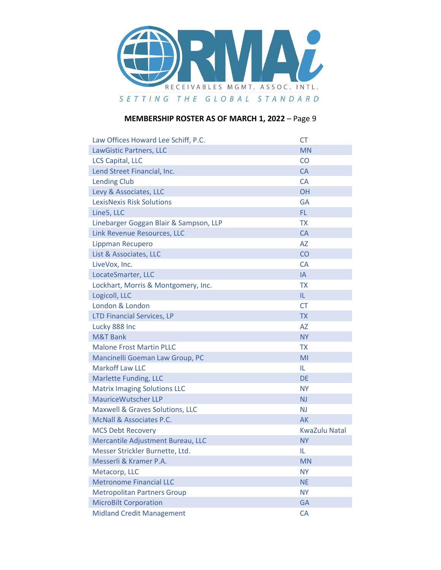

| Law Offices Howard Lee Schiff, P.C.        | <b>CT</b>            |
|--------------------------------------------|----------------------|
| LawGistic Partners, LLC                    | <b>MN</b>            |
| <b>LCS Capital, LLC</b>                    | CO                   |
| Lend Street Financial, Inc.                | CA                   |
| <b>Lending Club</b>                        | <b>CA</b>            |
| Levy & Associates, LLC                     | <b>OH</b>            |
| <b>LexisNexis Risk Solutions</b>           | <b>GA</b>            |
| Line5, LLC                                 | FL.                  |
| Linebarger Goggan Blair & Sampson, LLP     | <b>TX</b>            |
| Link Revenue Resources, LLC                | <b>CA</b>            |
| Lippman Recupero                           | <b>AZ</b>            |
| List & Associates, LLC                     | CO                   |
| LiveVox, Inc.                              | <b>CA</b>            |
| LocateSmarter, LLC                         | IA                   |
| Lockhart, Morris & Montgomery, Inc.        | <b>TX</b>            |
| Logicoll, LLC                              | IL.                  |
| London & London                            | <b>CT</b>            |
| <b>LTD Financial Services, LP</b>          | <b>TX</b>            |
| Lucky 888 Inc                              | <b>AZ</b>            |
| <b>M&amp;T Bank</b>                        | <b>NY</b>            |
| <b>Malone Frost Martin PLLC</b>            | <b>TX</b>            |
| Mancinelli Goeman Law Group, PC            | MI                   |
| <b>Markoff Law LLC</b>                     | IL.                  |
| <b>Marlette Funding, LLC</b>               | <b>DE</b>            |
| <b>Matrix Imaging Solutions LLC</b>        | <b>NY</b>            |
| <b>MauriceWutscher LLP</b>                 | <b>NJ</b>            |
| <b>Maxwell &amp; Graves Solutions, LLC</b> | <b>NJ</b>            |
| <b>McNall &amp; Associates P.C.</b>        | <b>AK</b>            |
| <b>MCS Debt Recovery</b>                   | <b>KwaZulu Natal</b> |
| Mercantile Adjustment Bureau, LLC          | <b>NY</b>            |
| Messer Strickler Burnette, Ltd.            | IL                   |
| Messerli & Kramer P.A.                     | <b>MN</b>            |
| Metacorp, LLC                              | <b>NY</b>            |
| <b>Metronome Financial LLC</b>             | <b>NE</b>            |
| <b>Metropolitan Partners Group</b>         | <b>NY</b>            |
| <b>MicroBilt Corporation</b>               | <b>GA</b>            |
| <b>Midland Credit Management</b>           | CA                   |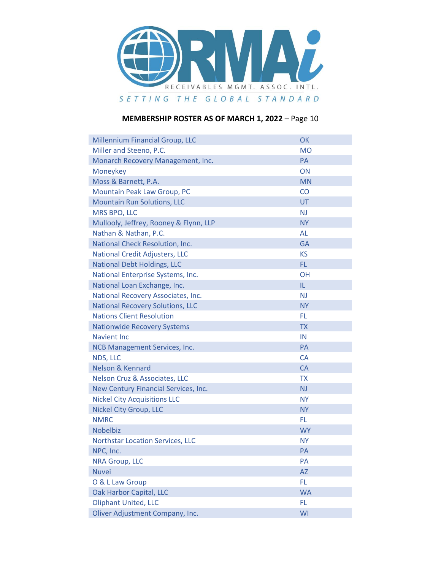

| Millennium Financial Group, LLC          | OK        |
|------------------------------------------|-----------|
| Miller and Steeno, P.C.                  | <b>MO</b> |
| Monarch Recovery Management, Inc.        | PA        |
| Moneykey                                 | ON        |
| Moss & Barnett, P.A.                     | <b>MN</b> |
| Mountain Peak Law Group, PC              | CO        |
| <b>Mountain Run Solutions, LLC</b>       | <b>UT</b> |
| <b>MRS BPO, LLC</b>                      | <b>NJ</b> |
| Mullooly, Jeffrey, Rooney & Flynn, LLP   | <b>NY</b> |
| Nathan & Nathan, P.C.                    | <b>AL</b> |
| National Check Resolution, Inc.          | <b>GA</b> |
| <b>National Credit Adjusters, LLC</b>    | <b>KS</b> |
| <b>National Debt Holdings, LLC</b>       | FL.       |
| National Enterprise Systems, Inc.        | <b>OH</b> |
| National Loan Exchange, Inc.             | IL.       |
| National Recovery Associates, Inc.       | <b>NJ</b> |
| <b>National Recovery Solutions, LLC</b>  | <b>NY</b> |
| <b>Nations Client Resolution</b>         | FL.       |
| <b>Nationwide Recovery Systems</b>       | <b>TX</b> |
| <b>Navient Inc.</b>                      | IN        |
| NCB Management Services, Inc.            | PA        |
| NDS, LLC                                 | <b>CA</b> |
| <b>Nelson &amp; Kennard</b>              | <b>CA</b> |
| <b>Nelson Cruz &amp; Associates, LLC</b> | <b>TX</b> |
| New Century Financial Services, Inc.     | <b>NJ</b> |
| <b>Nickel City Acquisitions LLC</b>      | <b>NY</b> |
| <b>Nickel City Group, LLC</b>            | <b>NY</b> |
| <b>NMRC</b>                              | FL.       |
| <b>Nobelbiz</b>                          | <b>WY</b> |
| <b>Northstar Location Services, LLC</b>  | <b>NY</b> |
| NPC, Inc.                                | PA        |
| <b>NRA Group, LLC</b>                    | PA        |
| <b>Nuvei</b>                             | <b>AZ</b> |
| O & L Law Group                          | FL.       |
| Oak Harbor Capital, LLC                  | <b>WA</b> |
| Oliphant United, LLC                     | FL        |
| Oliver Adjustment Company, Inc.          | WI        |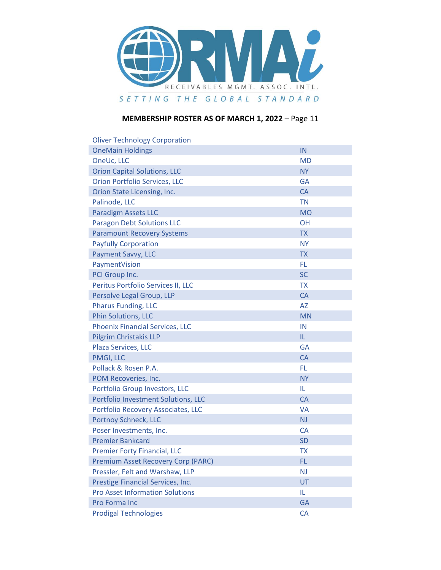

| <b>Oliver Technology Corporation</b>      |           |
|-------------------------------------------|-----------|
| <b>OneMain Holdings</b>                   | IN        |
| OneUc, LLC                                | <b>MD</b> |
| <b>Orion Capital Solutions, LLC</b>       | <b>NY</b> |
| <b>Orion Portfolio Services, LLC</b>      | <b>GA</b> |
| Orion State Licensing, Inc.               | <b>CA</b> |
| Palinode, LLC                             | <b>TN</b> |
| <b>Paradigm Assets LLC</b>                | <b>MO</b> |
| <b>Paragon Debt Solutions LLC</b>         | <b>OH</b> |
| <b>Paramount Recovery Systems</b>         | <b>TX</b> |
| <b>Payfully Corporation</b>               | <b>NY</b> |
| Payment Savvy, LLC                        | <b>TX</b> |
| PaymentVision                             | FL.       |
| PCI Group Inc.                            | <b>SC</b> |
| Peritus Portfolio Services II, LLC        | <b>TX</b> |
| Persolve Legal Group, LLP                 | <b>CA</b> |
| <b>Pharus Funding, LLC</b>                | <b>AZ</b> |
| Phin Solutions, LLC                       | <b>MN</b> |
| <b>Phoenix Financial Services, LLC</b>    | IN        |
| <b>Pilgrim Christakis LLP</b>             | IL.       |
| Plaza Services, LLC                       | <b>GA</b> |
| PMGI, LLC                                 | CA        |
| Pollack & Rosen P.A.                      | FL.       |
| POM Recoveries, Inc.                      | <b>NY</b> |
| Portfolio Group Investors, LLC            | IL.       |
| Portfolio Investment Solutions, LLC       | <b>CA</b> |
| Portfolio Recovery Associates, LLC        | VA        |
| Portnoy Schneck, LLC                      | <b>NJ</b> |
| Poser Investments, Inc.                   | <b>CA</b> |
| <b>Premier Bankcard</b>                   | <b>SD</b> |
| <b>Premier Forty Financial, LLC</b>       | <b>TX</b> |
| <b>Premium Asset Recovery Corp (PARC)</b> | FL        |
| Pressler, Felt and Warshaw, LLP           | <b>NJ</b> |
| Prestige Financial Services, Inc.         | UT        |
| <b>Pro Asset Information Solutions</b>    | IL.       |
| Pro Forma Inc                             | <b>GA</b> |
| <b>Prodigal Technologies</b>              | CA        |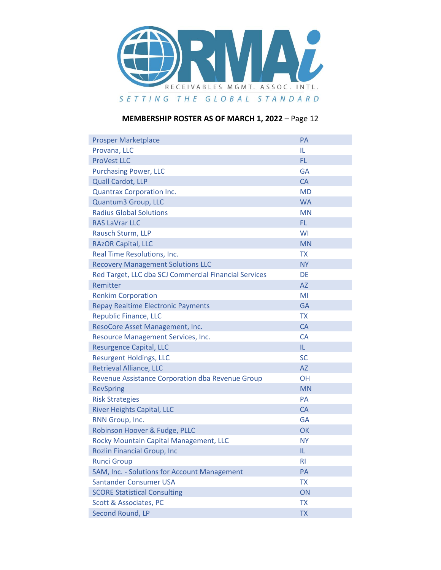

| <b>Prosper Marketplace</b>                            | PA             |
|-------------------------------------------------------|----------------|
| Provana, LLC                                          | IL             |
| <b>ProVest LLC</b>                                    | FL.            |
| <b>Purchasing Power, LLC</b>                          | <b>GA</b>      |
| Quall Cardot, LLP                                     | <b>CA</b>      |
| <b>Quantrax Corporation Inc.</b>                      | <b>MD</b>      |
| Quantum3 Group, LLC                                   | <b>WA</b>      |
| <b>Radius Global Solutions</b>                        | <b>MN</b>      |
| <b>RAS LaVrar LLC</b>                                 | FL.            |
| Rausch Sturm, LLP                                     | WI             |
| <b>RAzOR Capital, LLC</b>                             | <b>MN</b>      |
| Real Time Resolutions, Inc.                           | <b>TX</b>      |
| <b>Recovery Management Solutions LLC</b>              | <b>NY</b>      |
| Red Target, LLC dba SCJ Commercial Financial Services | DE             |
| Remitter                                              | AZ             |
| <b>Renkim Corporation</b>                             | MI             |
| <b>Repay Realtime Electronic Payments</b>             | <b>GA</b>      |
| <b>Republic Finance, LLC</b>                          | <b>TX</b>      |
| ResoCore Asset Management, Inc.                       | <b>CA</b>      |
| Resource Management Services, Inc.                    | <b>CA</b>      |
| <b>Resurgence Capital, LLC</b>                        | IL.            |
| <b>Resurgent Holdings, LLC</b>                        | <b>SC</b>      |
| <b>Retrieval Alliance, LLC</b>                        | <b>AZ</b>      |
| Revenue Assistance Corporation dba Revenue Group      | <b>OH</b>      |
| <b>RevSpring</b>                                      | <b>MN</b>      |
| <b>Risk Strategies</b>                                | PA             |
| <b>River Heights Capital, LLC</b>                     | CA             |
| RNN Group, Inc.                                       | <b>GA</b>      |
| Robinson Hoover & Fudge, PLLC                         | OK             |
| Rocky Mountain Capital Management, LLC                | <b>NY</b>      |
| <b>Rozlin Financial Group, Inc</b>                    | IL.            |
| <b>Runci Group</b>                                    | R <sub>l</sub> |
| SAM, Inc. - Solutions for Account Management          | PA             |
| <b>Santander Consumer USA</b>                         | <b>TX</b>      |
| <b>SCORE Statistical Consulting</b>                   | ON             |
| Scott & Associates, PC                                | <b>TX</b>      |
| Second Round, LP                                      | <b>TX</b>      |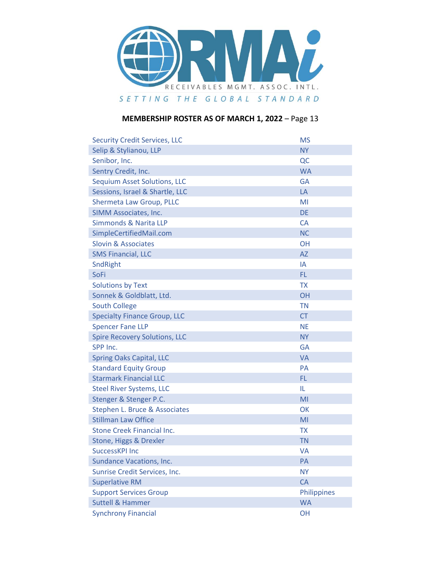

| <b>Security Credit Services, LLC</b> | <b>MS</b>   |
|--------------------------------------|-------------|
| Selip & Stylianou, LLP               | <b>NY</b>   |
| Senibor, Inc.                        | QC          |
| Sentry Credit, Inc.                  | <b>WA</b>   |
| <b>Sequium Asset Solutions, LLC</b>  | <b>GA</b>   |
| Sessions, Israel & Shartle, LLC      | LA          |
| Shermeta Law Group, PLLC             | MI          |
| SIMM Associates, Inc.                | DE          |
| Simmonds & Narita LLP                | <b>CA</b>   |
| SimpleCertifiedMail.com              | <b>NC</b>   |
| <b>Slovin &amp; Associates</b>       | <b>OH</b>   |
| <b>SMS Financial, LLC</b>            | <b>AZ</b>   |
| SndRight                             | IA          |
| <b>SoFi</b>                          | FL.         |
| <b>Solutions by Text</b>             | <b>TX</b>   |
| Sonnek & Goldblatt, Ltd.             | <b>OH</b>   |
| <b>South College</b>                 | <b>TN</b>   |
| <b>Specialty Finance Group, LLC</b>  | <b>CT</b>   |
| <b>Spencer Fane LLP</b>              | <b>NE</b>   |
| <b>Spire Recovery Solutions, LLC</b> | <b>NY</b>   |
| SPP Inc.                             | <b>GA</b>   |
| <b>Spring Oaks Capital, LLC</b>      | <b>VA</b>   |
| <b>Standard Equity Group</b>         | <b>PA</b>   |
| <b>Starmark Financial LLC</b>        | FL.         |
| <b>Steel River Systems, LLC</b>      | IL.         |
| Stenger & Stenger P.C.               | MI          |
| Stephen L. Bruce & Associates        | OK          |
| <b>Stillman Law Office</b>           | MI          |
| Stone Creek Financial Inc.           | <b>TX</b>   |
| Stone, Higgs & Drexler               | <b>TN</b>   |
| SuccessKPI Inc                       | <b>VA</b>   |
| <b>Sundance Vacations, Inc.</b>      | PA          |
| Sunrise Credit Services, Inc.        | <b>NY</b>   |
| <b>Superlative RM</b>                | CA          |
| <b>Support Services Group</b>        | Philippines |
| <b>Suttell &amp; Hammer</b>          | <b>WA</b>   |
| <b>Synchrony Financial</b>           | <b>OH</b>   |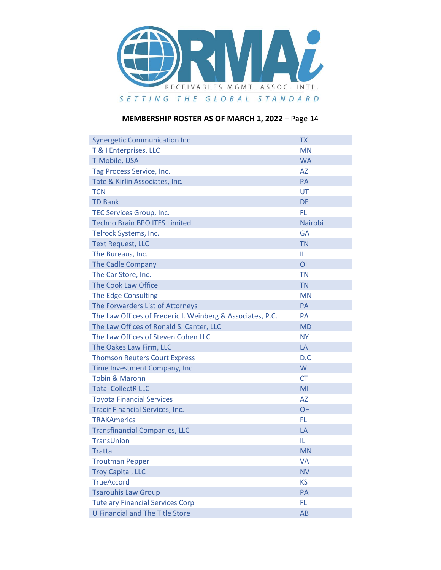

| <b>Synergetic Communication Inc</b>                        | <b>TX</b> |
|------------------------------------------------------------|-----------|
| T & I Enterprises, LLC                                     | <b>MN</b> |
| T-Mobile, USA                                              | <b>WA</b> |
| Tag Process Service, Inc.                                  | <b>AZ</b> |
| Tate & Kirlin Associates, Inc.                             | <b>PA</b> |
| <b>TCN</b>                                                 | UT        |
| <b>TD Bank</b>                                             | <b>DE</b> |
| TEC Services Group, Inc.                                   | FL.       |
| <b>Techno Brain BPO ITES Limited</b>                       | Nairobi   |
| Telrock Systems, Inc.                                      | <b>GA</b> |
| <b>Text Request, LLC</b>                                   | <b>TN</b> |
| The Bureaus, Inc.                                          | IL        |
| The Cadle Company                                          | <b>OH</b> |
| The Car Store, Inc.                                        | <b>TN</b> |
| The Cook Law Office                                        | <b>TN</b> |
| The Edge Consulting                                        | <b>MN</b> |
| The Forwarders List of Attorneys                           | <b>PA</b> |
| The Law Offices of Frederic I. Weinberg & Associates, P.C. | <b>PA</b> |
| The Law Offices of Ronald S. Canter, LLC                   | <b>MD</b> |
| The Law Offices of Steven Cohen LLC                        | <b>NY</b> |
| The Oakes Law Firm, LLC                                    | LA        |
| <b>Thomson Reuters Court Express</b>                       | D.C       |
| Time Investment Company, Inc                               | WI        |
| <b>Tobin &amp; Marohn</b>                                  | <b>CT</b> |
| <b>Total CollectR LLC</b>                                  | MI        |
| <b>Toyota Financial Services</b>                           | <b>AZ</b> |
| <b>Tracir Financial Services, Inc.</b>                     | <b>OH</b> |
| <b>TRAKAmerica</b>                                         | FL.       |
| <b>Transfinancial Companies, LLC</b>                       | LA        |
| TransUnion                                                 | IL        |
| <b>Tratta</b>                                              | <b>MN</b> |
| <b>Troutman Pepper</b>                                     | <b>VA</b> |
| <b>Troy Capital, LLC</b>                                   | <b>NV</b> |
| <b>TrueAccord</b>                                          | <b>KS</b> |
| <b>Tsarouhis Law Group</b>                                 | PA        |
| <b>Tutelary Financial Services Corp</b>                    | FL.       |
| <b>U Financial and The Title Store</b>                     | AB        |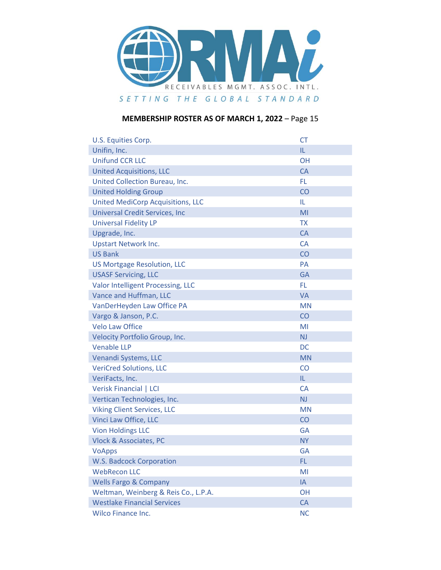

| U.S. Equities Corp.                      | <b>CT</b>      |
|------------------------------------------|----------------|
| Unifin, Inc.                             | IL.            |
| <b>Unifund CCR LLC</b>                   | <b>OH</b>      |
| <b>United Acquisitions, LLC</b>          | <b>CA</b>      |
| United Collection Bureau, Inc.           | FL.            |
| <b>United Holding Group</b>              | CO             |
| <b>United MediCorp Acquisitions, LLC</b> | IL.            |
| <b>Universal Credit Services, Inc</b>    | MI             |
| <b>Universal Fidelity LP</b>             | <b>TX</b>      |
| Upgrade, Inc.                            | <b>CA</b>      |
| <b>Upstart Network Inc.</b>              | <b>CA</b>      |
| <b>US Bank</b>                           | CO             |
| <b>US Mortgage Resolution, LLC</b>       | <b>PA</b>      |
| <b>USASF Servicing, LLC</b>              | <b>GA</b>      |
| Valor Intelligent Processing, LLC        | FL.            |
| Vance and Huffman, LLC                   | <b>VA</b>      |
| VanDerHeyden Law Office PA               | <b>MN</b>      |
| Vargo & Janson, P.C.                     | CO             |
| <b>Velo Law Office</b>                   | MI             |
| Velocity Portfolio Group, Inc.           | N <sub>J</sub> |
| <b>Venable LLP</b>                       | DC             |
| Venandi Systems, LLC                     | <b>MN</b>      |
| <b>VeriCred Solutions, LLC</b>           | CO             |
| VeriFacts, Inc.                          | IL.            |
| Verisk Financial   LCI                   | <b>CA</b>      |
| Vertican Technologies, Inc.              | <b>NJ</b>      |
| <b>Viking Client Services, LLC</b>       | <b>MN</b>      |
| Vinci Law Office, LLC                    | CO             |
| <b>Vion Holdings LLC</b>                 | <b>GA</b>      |
| <b>Vlock &amp; Associates, PC</b>        | <b>NY</b>      |
| <b>VoApps</b>                            | GA             |
| <b>W.S. Badcock Corporation</b>          | FL             |
| <b>WebRecon LLC</b>                      | MI             |
| <b>Wells Fargo &amp; Company</b>         | IA             |
| Weltman, Weinberg & Reis Co., L.P.A.     | OH             |
| <b>Westlake Financial Services</b>       | CA             |
| Wilco Finance Inc.                       | <b>NC</b>      |